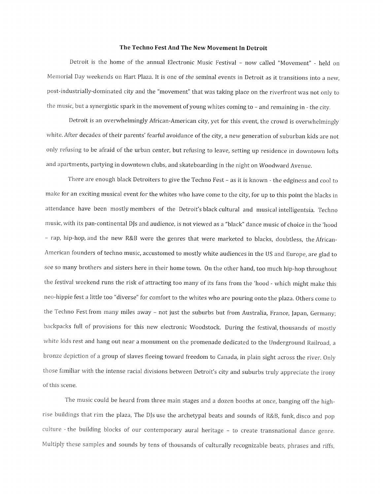## The Techno Fest And The New Movement In Detroit

Detroit is the home of the annual Electronic Music Festival - now called "Movement" - held on Memorial Day weekends on Hart Plaza. It is one of the seminal events in Detroit as it transitions into <sup>a</sup> new, post-industrially-dominated city and the "movement" that was taking <sup>p</sup>lace on the riverfront was not only to the music, but a synergistic spark in the movement of young whites coming to - and remaining in - the city.

Detroit is an overwhelmingly African-American city, yet for this event, the crowd is overwhelmingly white. After decades of their parents' fearful avoidance of the city, <sup>a</sup> new generation of suburban kids are not only refusing to be afraid of the urban center, but refusing to leave, setting up residence in downtown lofts and apartments, partying in downtown clubs, and skateboarding in the night on Woodward Avenue.

There are enoug<sup>h</sup> black Detroiters to <sup>g</sup>ive the Techno Fest — as it is known - the edginess and cool to make for an exciting musical event for the whites who have come to the city, for up to this point the blacks in attendance have been mostly members of the Detroit's black cultural and musical intelligentsia. Techno music, with its pan-continental DJs and audience, is not viewed as <sup>a</sup> "black" dance music of choice in the 'hood - rap, hip-hop, and the new R&B were the genres that were marketed to blacks, doubtless, the African-American founders of techno music, accustomed to mostly white audiences in the US and Europe, are <sup>g</sup>lad to see so many brothers and sisters here in their home town. On the other hand, too much hip-hop throughout the festival weekend runs the risk of attracting too many of its fans from the 'hood - which might make this neo-hippie fest <sup>a</sup> little too "diverse" for comfort to the whites who are pouring onto the <sup>p</sup>laza. Others come to the Techno Fest from many miles away — not just the suburbs but from Australia, France, Japan, Germany; backpacks full of provisions for this new electronic Woodstock. During the festival, thousands of mostly white kids rest and hang out near <sup>a</sup> monument on the promenade dedicated to the Underground Railroad, <sup>a</sup> bronze depiction of <sup>a</sup> group of slaves fleeing toward freedom to Canada, in <sup>p</sup>lain sight across the river. Only those familiar with the intense racial divisions between Detroit's city and suburbs truly appreciate the irony of this scene.

The music could be heard from three main stages and <sup>a</sup> dozen booths at once, banging off the highrise buildings that rim the <sup>p</sup>laza, The DJs use the archetypal beats and sounds of R&B, funk, disco and pop culture - the building blocks of our contemporary aural heritage — to create transnational dance genre. Multiply these samples and sounds by tens of thousands of culturally recognizable beats, <sup>p</sup>hrases and riffs,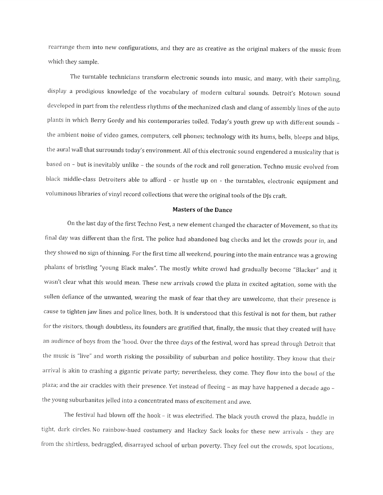rearrange them into new configurations, and they are as creative as the original makers of the music from which they sample.

The turntable technicians transform electronic sounds into music, and many, with their sampling, display <sup>a</sup> prodigious knowledge of the vocabulary of modern cultural sounds. Detroit's Motown sound developed in part from the relentless rhythms of the mechanized clash and clang of assembly lines of the auto <sup>p</sup>lants in which Berry Gordy and his contemporaries toiled. Today's youth grew up with different sounds the ambient noise of video games, computers, cell <sup>p</sup>hones; technology with its hums, bells, bleeps and blips, the aural wall that surrounds today's environment. All of this electronic sound engendered <sup>a</sup> musicality that is based on — but is inevitably unlike — the sounds of the rock and roll generation. Techno music evolved from black middle-class Detroiters able to afford - or hustle up on - the turntables, electronic equipment and voluminous libraries of vinyl record collections that were the original tools of the DJs craft.

## Masters of the Dance

On the last day of the first Techno Fest, <sup>a</sup> new element changed the character of Movement, so that its final day was different than the first. The police had abandoned bag checks and let the crowds pour in, and they showed no sign of thinning. For the first time all weekend, pouring into the main entrance was <sup>a</sup> growing <sup>p</sup>halanx of bristling "young Black males". The mostly white crowd had gradually become "Blacker" and it wasn't clear what this would mean. These new arrivals crowd the <sup>p</sup>laza in excited agitation, some with the sullen defiance of the unwanted, wearing the mask of fear that they are unwelcome, that their presence is cause to tighten jaw lines and police lines, both. It is understood that this festival is not for them, but rather for the visitors, though doubtless, its founders are gratified that, finally, the music that they created will have an audience of boys from the 'hood. Over the three days of the festival, word has spread through Detroit that the music is "live" and worth risking the possibility of suburban and police hostility. They know that their arrival is akin to crashing <sup>a</sup> <sup>g</sup>igantic private party; nevertheless, they come. They flow into the howl of the plaza; and the air crackles with their presence. Yet instead of fleeing - as may have happened a decade ago the young suburbanites jelled into <sup>a</sup> concentrated mass of excitement and awe.

The festival had blown off the hook — it was electrified. The black youth crowd the <sup>p</sup>laza, huddle in tight, dark circles. No rainbow-hued costumery and Hackey Sack looks for these new arrivals - they are from the shirtless, bedraggled, disarrayed school of urban poverty. They feel out the crowds, spot locations,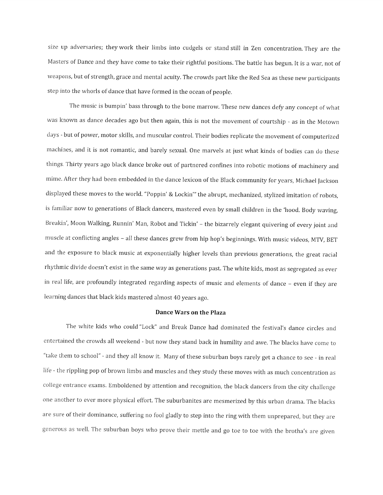size up adversaries; they work their limbs into cudgels or stand still in Zen concentration. They are the Masters of Dance and they have come to take their rightful positions. The battle has begun. It is <sup>a</sup> war, not of weapons, but of strength, grace and mental acuity. The crowds part like the Red Sea as these new participants step into the whorls of dance that have formed in the ocean of people.

The music is bumpin' bass through to the bone marrow. These new dances defy any concept of what was known as dance decades ago but then again, this is not the movement of courtship - as in the Motown days -but of power, motor skills, and muscular control. Their bodies replicate the movement of computerized machines, and it is not romantic, and barely sexual. One marvels at just what kinds of bodies can do these things. Thirty years ago black dance broke out of partnered confines into robotic motions of machinery and mime. After they had been embedded in the dance lexicon of the Black community for years, Michael Jackson displayed these moves to the world. "Poppin' & Lockin" the abrupt, mechanized, stylized imitation of robots, is familiar now to generations of Black dancers, mastered even by small children in the 'hood. Body waving, Breakin', Moon Walking, Runnin' Man, Robot and Tickin' — the bizarrely elegant quivering of every joint and muscle at conflicting angles — all these dances grew from hip hop's beginnings. With music videos, MTV, BET and the exposure to black music at exponentially higher levels than previous generations, the great racial rhythmic divide doesn't exist in the same way as generations past. The white kids, most as segregated as ever in real life, are profoundly integrated regarding aspects of music and elements of dance — even if they are learning dances that black kids mastered almost <sup>40</sup> years ago.

## Dance Wars on the Plaza

The white kids who could "Lock" and Break Dance had dominated the festival's dance circles and entertained the crowds all weekend - but now they stand back in humility and awe. The blacks have come to "take them to school" - and they all know it. Many of these suburban boys rarely get a chance to see - in real life - the rippling pop of brown limbs and muscles and they study these moves with as much concentration as college entrance exams. Emboldened by attention and recognition, the black dancers from the city challenge one another to ever more <sup>p</sup>hysical effort. The suburbanites are mesmerized by this urban drama. The blacks are sure of their dominance, suffering no fool <sup>g</sup>ladly to step into the ring with them unprepared, but they are generous as well. The suburban boys who prove their mettle and go toe to toe with the brotha's are <sup>g</sup>iven